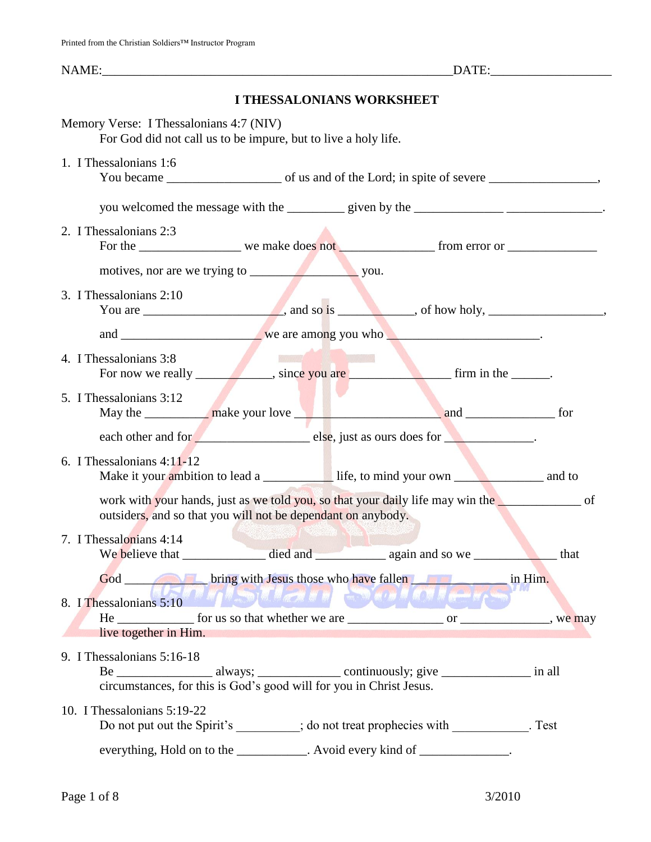|  | AM. |  |
|--|-----|--|

## **I THESSALONIANS WORKSHEET**

| Memory Verse: I Thessalonians 4:7 (NIV)<br>For God did not call us to be impure, but to live a holy life.                                      |
|------------------------------------------------------------------------------------------------------------------------------------------------|
| 1. I Thessalonians 1:6                                                                                                                         |
| you welcomed the message with the __________ given by the ______________________________.                                                      |
| 2. I Thessalonians 2:3                                                                                                                         |
| motives, nor are we trying to you.                                                                                                             |
| 3. I Thessalonians 2:10<br>You are $\_\_\_\_\_\_\_\_\_\$ , and so is $\_\_\_\_\_\_\_\_\_\_\_\_\_\_\_\_\_\_\_\_\_\_\_\_\_\_\_\_\_\_\_\_$        |
|                                                                                                                                                |
| 4. I Thessalonians 3:8<br>For now we really ____________, since you are _________________________________.                                     |
| 5. I Thessalonians 3:12                                                                                                                        |
| each other and for else, just as ours does for                                                                                                 |
| 6. I Thessalonians $4:11-12$                                                                                                                   |
| work with your hands, just as we told you, so that your daily life may win the<br>outsiders, and so that you will not be dependent on anybody. |
| 7. I Thessalonians 4:14                                                                                                                        |
| live together in Him.                                                                                                                          |
| 9. I Thessalonians 5:16-18<br>circumstances, for this is God's good will for you in Christ Jesus.                                              |
| 10. I Thessalonians 5:19-22<br>Do not put out the Spirit's ________; do not treat prophecies with __________. Test                             |
| everything, Hold on to the ___________. Avoid every kind of ____________.                                                                      |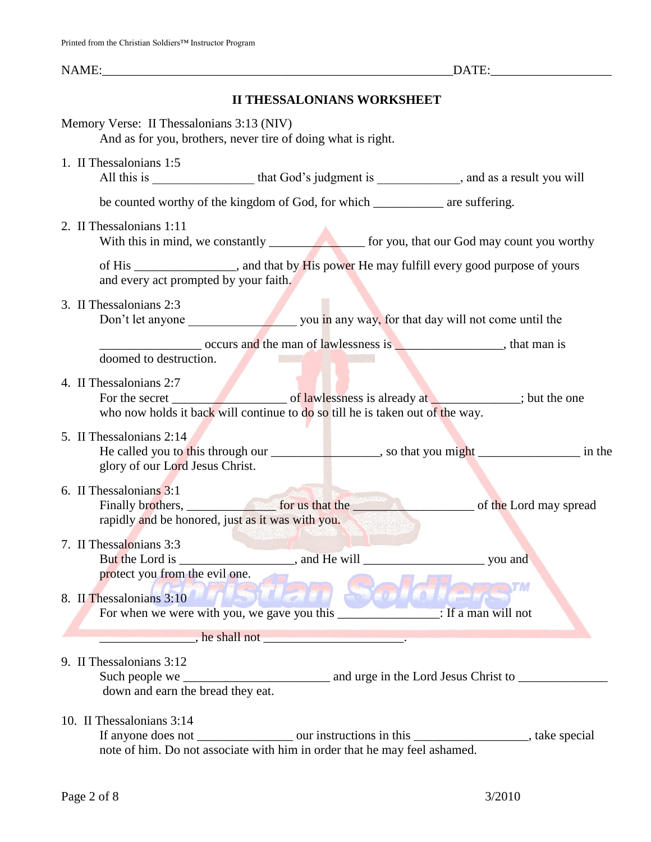## **II THESSALONIANS WORKSHEET**

| Memory Verse: II Thessalonians 3:13 (NIV)<br>And as for you, brothers, never tire of doing what is right.                                                                                                                                                                                         |
|---------------------------------------------------------------------------------------------------------------------------------------------------------------------------------------------------------------------------------------------------------------------------------------------------|
| 1. II Thessalonians 1:5<br>All this is ______________________ that God's judgment is _______________, and as a result you will                                                                                                                                                                    |
| be counted worthy of the kingdom of God, for which ___________ are suffering.                                                                                                                                                                                                                     |
| 2. II Thessalonians 1:11<br>With this in mind, we constantly <u>for you</u> , that our God may count you worthy                                                                                                                                                                                   |
| of His ________________, and that by His power He may fulfill every good purpose of yours<br>and every act prompted by your faith.                                                                                                                                                                |
| 3. II Thessalonians 2:3                                                                                                                                                                                                                                                                           |
| <u>December 1988</u> occurs and the man of lawlessness is <b>the contract of the man-</b> , that man is<br>doomed to destruction.                                                                                                                                                                 |
| 4. II Thessalonians 2:7<br>who now holds it back will continue to do so till he is taken out of the way.                                                                                                                                                                                          |
| 5. II Thessalonians 2:14<br>He called you to this through our _______________________, so that you might _____________________ in the<br>glory of our Lord Jesus Christ.                                                                                                                          |
| 6. II Thessalonians 3:1<br>rapidly and be honored, just as it was with you.                                                                                                                                                                                                                       |
| 7. II Thessalonians 3:3<br>protect you from the evil one.                                                                                                                                                                                                                                         |
| 8. II Thessalonians 3:10 $\frac{1}{1}$ S $\frac{1}{1}$ S $\frac{1}{1}$ S $\frac{1}{1}$ S $\frac{1}{1}$ S $\frac{1}{1}$ S $\frac{1}{1}$ S $\frac{1}{1}$ S $\frac{1}{1}$ S $\frac{1}{1}$ S $\frac{1}{1}$ S $\frac{1}{1}$ S $\frac{1}{1}$ S $\frac{1}{1}$ S $\frac{1}{1}$ S $\frac{1}{1}$ S $\frac{$ |
| he shall not                                                                                                                                                                                                                                                                                      |
| 9. II Thessalonians 3:12<br>down and earn the bread they eat.                                                                                                                                                                                                                                     |
| 10. II Thessalonians 3:14<br>If anyone does not _______________________ our instructions in this ______________________, take special<br>note of him. Do not associate with him in order that he may feel ashamed.                                                                                |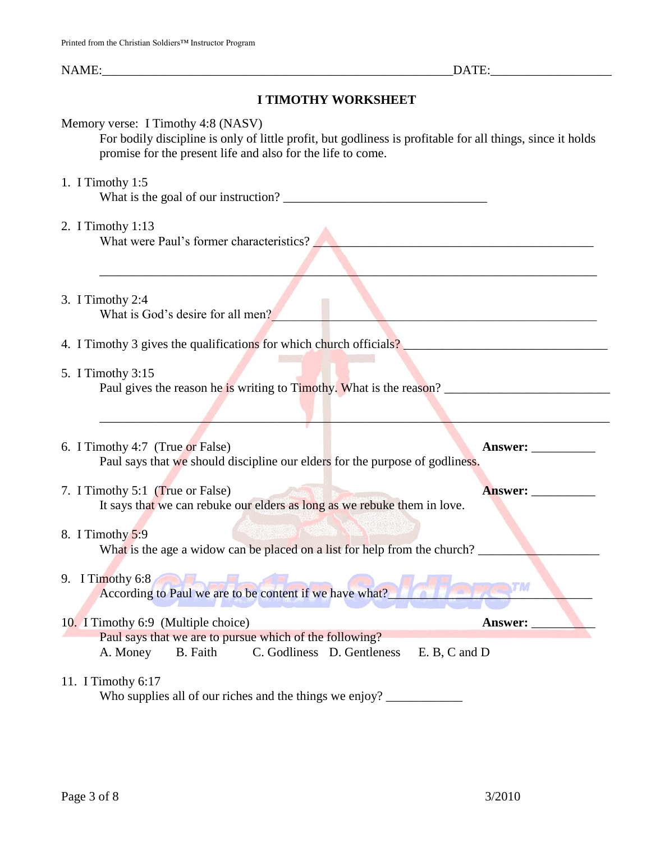## **I TIMOTHY WORKSHEET**

| Memory verse: I Timothy 4:8 (NASV)<br>For bodily discipline is only of little profit, but godliness is profitable for all things, since it holds<br>promise for the present life and also for the life to come. |                            |
|-----------------------------------------------------------------------------------------------------------------------------------------------------------------------------------------------------------------|----------------------------|
| 1. I Timothy $1:5$                                                                                                                                                                                              |                            |
| 2. I Timothy $1:13$<br>What were Paul's former characteristics?                                                                                                                                                 |                            |
| 3. I Timothy $2:4$<br>What is God's desire for all men?                                                                                                                                                         |                            |
| 4. I Timothy 3 gives the qualifications for which church officials?                                                                                                                                             |                            |
| 5. I Timothy 3:15<br>Paul gives the reason he is writing to Timothy. What is the reason?                                                                                                                        |                            |
| 6. I Timothy 4:7 (True or False)<br>Paul says that we should discipline our elders for the purpose of godliness.                                                                                                | <b>Answer:</b> ___________ |
| 7. I Timothy 5:1 (True or False)<br>It says that we can rebuke our elders as long as we rebuke them in love.                                                                                                    | Answer: _____              |
| 8. I Timothy 5:9<br>What is the age a widow can be placed on a list for help from the church?                                                                                                                   |                            |
| 9. I Timothy $6:8$<br>According to Paul we are to be content if we have what?                                                                                                                                   |                            |
| 10. I Timothy 6:9 (Multiple choice)<br>Paul says that we are to pursue which of the following?<br>A. Money<br><b>B.</b> Faith<br>C. Godliness D. Gentleness<br>E. B, C and D                                    | Answer:                    |
| 11. I Timothy 6:17                                                                                                                                                                                              |                            |

Who supplies all of our riches and the things we enjoy? \_\_\_\_\_\_\_\_\_\_\_\_\_\_\_\_\_\_\_\_\_\_\_\_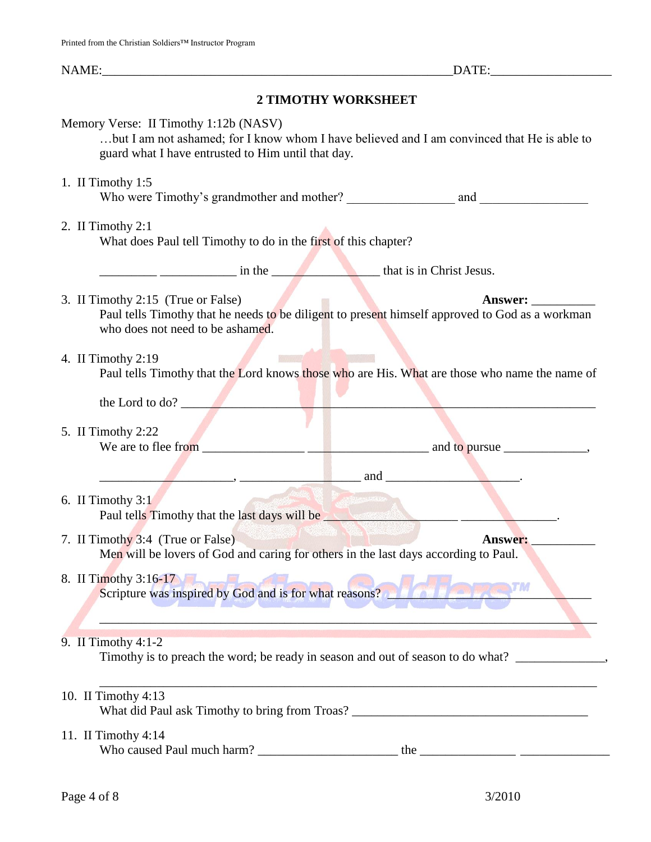# **2 TIMOTHY WORKSHEET**

| Memory Verse: II Timothy 1:12b (NASV)<br>but I am not ashamed; for I know whom I have believed and I am convinced that He is able to<br>guard what I have entrusted to Him until that day. |
|--------------------------------------------------------------------------------------------------------------------------------------------------------------------------------------------|
| 1. II Timothy $1:5$                                                                                                                                                                        |
| 2. II Timothy $2:1$<br>What does Paul tell Timothy to do in the first of this chapter?                                                                                                     |
| hat is in Christ Jesus.                                                                                                                                                                    |
| 3. II Timothy 2:15 (True or False)<br>Paul tells Timothy that he needs to be diligent to present himself approved to God as a workman<br>who does not need to be ashamed.                  |
| 4. II Timothy 2:19<br>Paul tells Timothy that the Lord knows those who are His. What are those who name the name of                                                                        |
| the Lord to do?                                                                                                                                                                            |
| 5. II Timothy 2:22                                                                                                                                                                         |
| $\overline{\phantom{a}}$ and $\overline{\phantom{a}}$ .                                                                                                                                    |
| <b>BEAT AN ARRANGEMENT</b><br>6. II Timothy $3:1$<br>Paul tells Timothy that the last days will be                                                                                         |
| 7. II Timothy 3:4 (True or False)<br>Answer:<br>Men will be lovers of God and caring for others in the last days according to Paul.                                                        |
| Scripture was inspired by God and is for what reasons?<br><u> 1980 - Johann Barn, mars ann an t-Amhain an t-Amhain an t-Amhain an t-Amhain an t-Amhain an t-Amhain an t-Amh</u>            |
| 9. II Timothy 4:1-2<br>Timothy is to preach the word; be ready in season and out of season to do what? ____________________                                                                |
| 10. II Timothy 4:13<br>What did Paul ask Timothy to bring from Troas? __________________________________                                                                                   |
| 11. II Timothy 4:14                                                                                                                                                                        |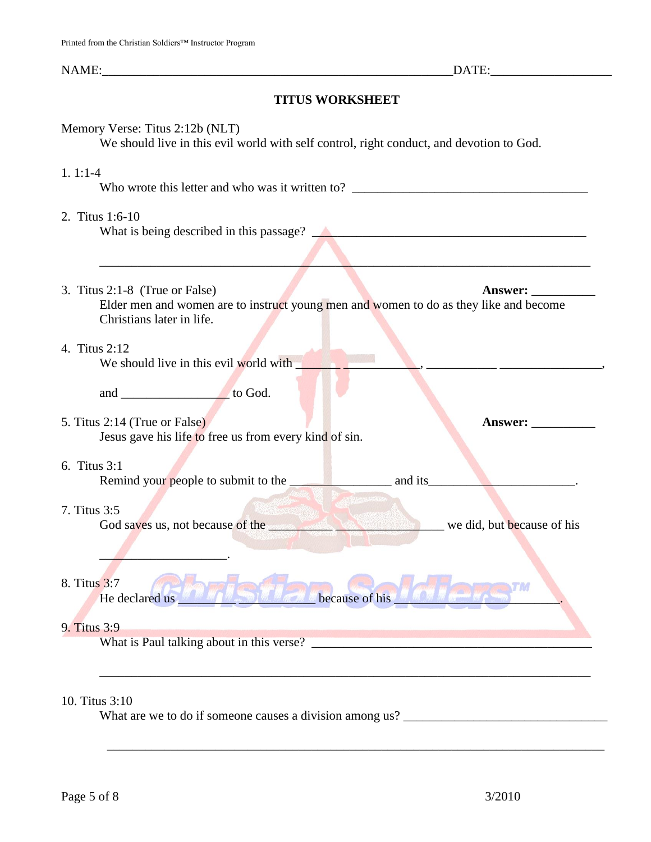## **TITUS WORKSHEET**

### Memory Verse: Titus 2:12b (NLT)

We should live in this evil world with self control, right conduct, and devotion to God.

### 1. 1:1-4

Who wrote this letter and who was it written to? \_\_\_\_\_\_\_\_\_\_\_\_\_\_\_\_\_\_\_\_\_\_\_\_\_\_\_\_\_\_\_\_

### 2. Titus 1:6-10

What is being described in this passage? \_\_\_\_\_\_\_\_\_\_\_\_\_\_\_\_\_\_\_\_\_\_\_\_\_\_\_\_\_\_\_\_\_\_\_\_\_\_\_\_\_\_\_

3. Titus 2:1-8 (True or False) **Answer: Answer: Answer: Answer: Answer: Answer: Answer: Answer: Answer: Answer: Answer: Answer: Answer: Answer: Answer: Answer: Answer: Answer: Answer:**

Elder men and women are to instruct young men and women to do as they like and become Christians later in life.

\_\_\_\_\_\_\_\_\_\_\_\_\_\_\_\_\_\_\_\_\_\_\_\_\_\_\_\_\_\_\_\_\_\_\_\_\_\_\_\_\_\_\_\_\_\_\_\_\_\_\_\_\_\_\_\_\_\_\_\_\_\_\_\_\_\_\_\_\_\_\_\_\_\_\_\_\_

\_\_\_\_\_\_\_\_\_\_\_\_\_\_\_\_\_\_\_\_\_\_\_\_\_\_\_\_\_\_\_\_\_\_\_\_\_\_\_\_\_\_\_\_\_\_\_\_\_\_\_\_\_\_\_\_\_\_\_\_\_\_\_\_\_\_\_\_\_\_\_\_\_\_\_\_\_\_

### 4. Titus 2:12

We should live in this evil world with  $\Box$ 

and to God.

5. Titus 2:14 (True or False) **Answer:** \_\_\_\_\_\_\_\_\_\_ Jesus gave his life to free us from every kind of sin.

### 6. Titus 3:1

Remind your people to submit to the \_\_\_\_\_\_\_\_\_\_\_\_\_\_\_\_ and its\_\_\_\_\_\_\_\_\_\_\_\_\_\_\_\_\_\_\_\_\_\_\_.

## 7. Titus 3:5

- God saves us, not because of the \_\_\_\_\_\_\_\_\_\_ \_\_\_\_\_\_\_\_\_\_\_\_\_\_\_\_\_ we did, but because of his
- 8. Titus 3:7

 $\mathbf{H}$  He declared us  $\mathbf{H}$  and  $\mathbf{H}$  because of his  $\mathbf{H}$ 

 $\mathcal{L}$  , where  $\mathcal{L}$  is the set of the set of the set of the set of the set of the set of the set of the set of the set of the set of the set of the set of the set of the set of the set of the set of the set of the s

### 9. Titus 3:9

What is Paul talking about in this verse? \_\_\_\_\_\_\_\_\_\_\_\_\_\_\_\_\_\_\_\_\_\_\_\_\_\_\_\_\_\_\_\_\_\_\_\_\_\_\_\_\_\_\_\_

## 10. Titus 3:10

What are we to do if someone causes a division among us? \_\_\_\_\_\_\_\_\_\_\_\_\_\_\_\_\_\_\_\_\_\_\_\_\_\_\_\_\_\_\_\_

**NTM**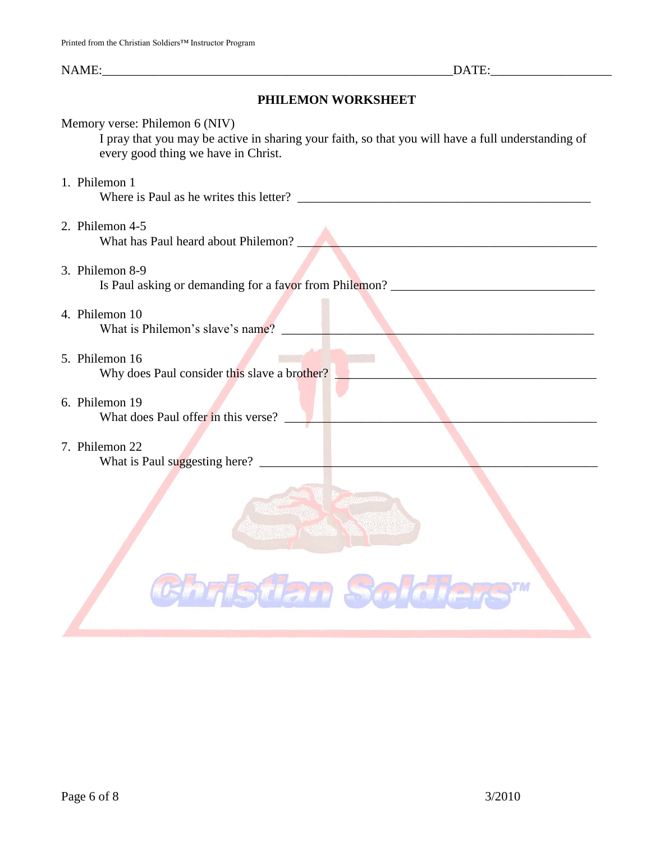# **PHILEMON WORKSHEET**

| Memory verse: Philemon 6 (NIV)<br>I pray that you may be active in sharing your faith, so that you will have a full understanding of<br>every good thing we have in Christ. |
|-----------------------------------------------------------------------------------------------------------------------------------------------------------------------------|
| 1. Philemon 1<br>Where is Paul as he writes this letter?                                                                                                                    |
| 2. Philemon 4-5<br>What has Paul heard about Philemon?                                                                                                                      |
| 3. Philemon 8-9<br>Is Paul asking or demanding for a favor from Philemon? __________________________                                                                        |
| 4. Philemon 10<br>What is Philemon's slave's name?                                                                                                                          |
| 5. Philemon 16<br>Why does Paul consider this slave a brother?                                                                                                              |
| 6. Philemon 19<br>What does Paul offer in this verse?                                                                                                                       |
| 7. Philemon 22                                                                                                                                                              |
| hylstian I<br><b>CONSTRUCTION</b>                                                                                                                                           |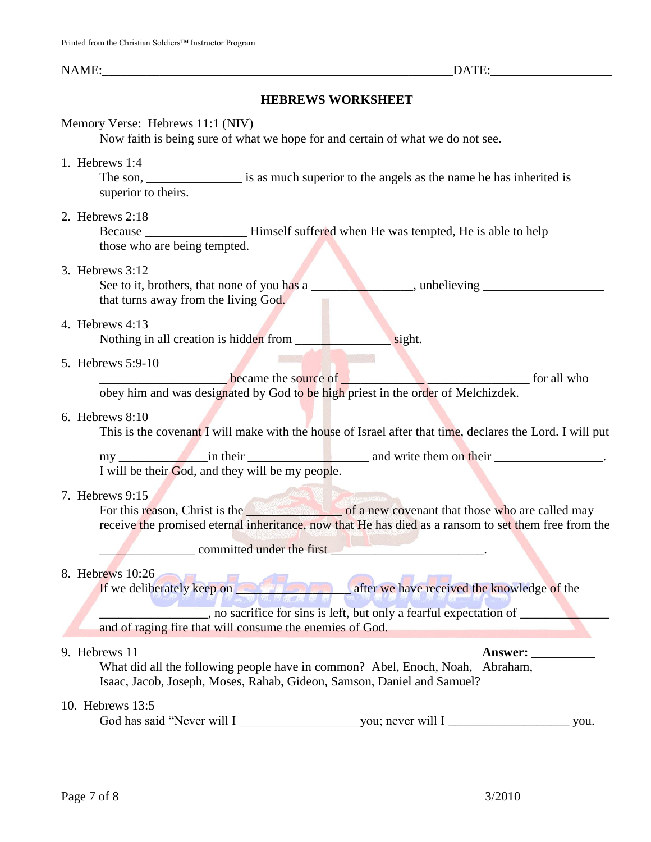## **HEBREWS WORKSHEET**

| Memory Verse: Hebrews 11:1 (NIV)<br>Now faith is being sure of what we hope for and certain of what we do not see.                                                                                                                                                                                                                                                                                                                                                                                                                          |
|---------------------------------------------------------------------------------------------------------------------------------------------------------------------------------------------------------------------------------------------------------------------------------------------------------------------------------------------------------------------------------------------------------------------------------------------------------------------------------------------------------------------------------------------|
| 1. Hebrews 1:4<br>The son, ___________________ is as much superior to the angels as the name he has inherited is<br>superior to theirs.                                                                                                                                                                                                                                                                                                                                                                                                     |
| 2. Hebrews 2:18<br>Because ________________________Himself suffered when He was tempted, He is able to help<br>those who are being tempted.                                                                                                                                                                                                                                                                                                                                                                                                 |
| 3. Hebrews 3:12<br>See to it, brothers, that none of you has a<br>$\frac{1}{\sqrt{1-\frac{1}{\sqrt{1-\frac{1}{\sqrt{1-\frac{1}{\sqrt{1-\frac{1}{\sqrt{1-\frac{1}{\sqrt{1-\frac{1}{\sqrt{1-\frac{1}{\sqrt{1-\frac{1}{\sqrt{1-\frac{1}{\sqrt{1-\frac{1}{\sqrt{1-\frac{1}{\sqrt{1-\frac{1}{\sqrt{1-\frac{1}{\sqrt{1-\frac{1}{\sqrt{1-\frac{1}{\sqrt{1-\frac{1}{\sqrt{1-\frac{1}{\sqrt{1-\frac{1}{\sqrt{1-\frac{1}{\sqrt{1-\frac{1}{\sqrt{1-\frac{1}{\sqrt{1-\frac{1}{\sqrt{1-\frac{1}{\sqrt{1-\frac{1$<br>that turns away from the living God. |
| 4. Hebrews 4:13<br>Nothing in all creation is hidden from ______<br>sight.                                                                                                                                                                                                                                                                                                                                                                                                                                                                  |
| 5. Hebrews 5:9-10<br>became the source of <b>the contact of the source of the source</b> for all who<br>obey him and was designated by God to be high priest in the order of Melchizdek.                                                                                                                                                                                                                                                                                                                                                    |
| 6. Hebrews 8:10<br>This is the covenant I will make with the house of Israel after that time, declares the Lord. I will put                                                                                                                                                                                                                                                                                                                                                                                                                 |
| I will be their God, and they will be my people.                                                                                                                                                                                                                                                                                                                                                                                                                                                                                            |
| 7. Hebrews 9:15<br>For this reason, Christ is the of a new covenant that those who are called may<br>receive the promised eternal inheritance, now that He has died as a ransom to set them free from the<br>committed under the first                                                                                                                                                                                                                                                                                                      |
| 8. Hebrews 10:26<br>If we deliberately keep on after we have received the knowledge of the<br>, no sacrifice for sins is left, but only a fearful expectation of _____________<br>and of raging fire that will consume the enemies of God.                                                                                                                                                                                                                                                                                                  |
| 9. Hebrews 11<br><b>Answer:</b> _________<br>What did all the following people have in common? Abel, Enoch, Noah, Abraham,<br>Isaac, Jacob, Joseph, Moses, Rahab, Gideon, Samson, Daniel and Samuel?                                                                                                                                                                                                                                                                                                                                        |
| 10. Hebrews 13:5<br>God has said "Never will I<br>you; never will $I_{-}$<br>you.                                                                                                                                                                                                                                                                                                                                                                                                                                                           |